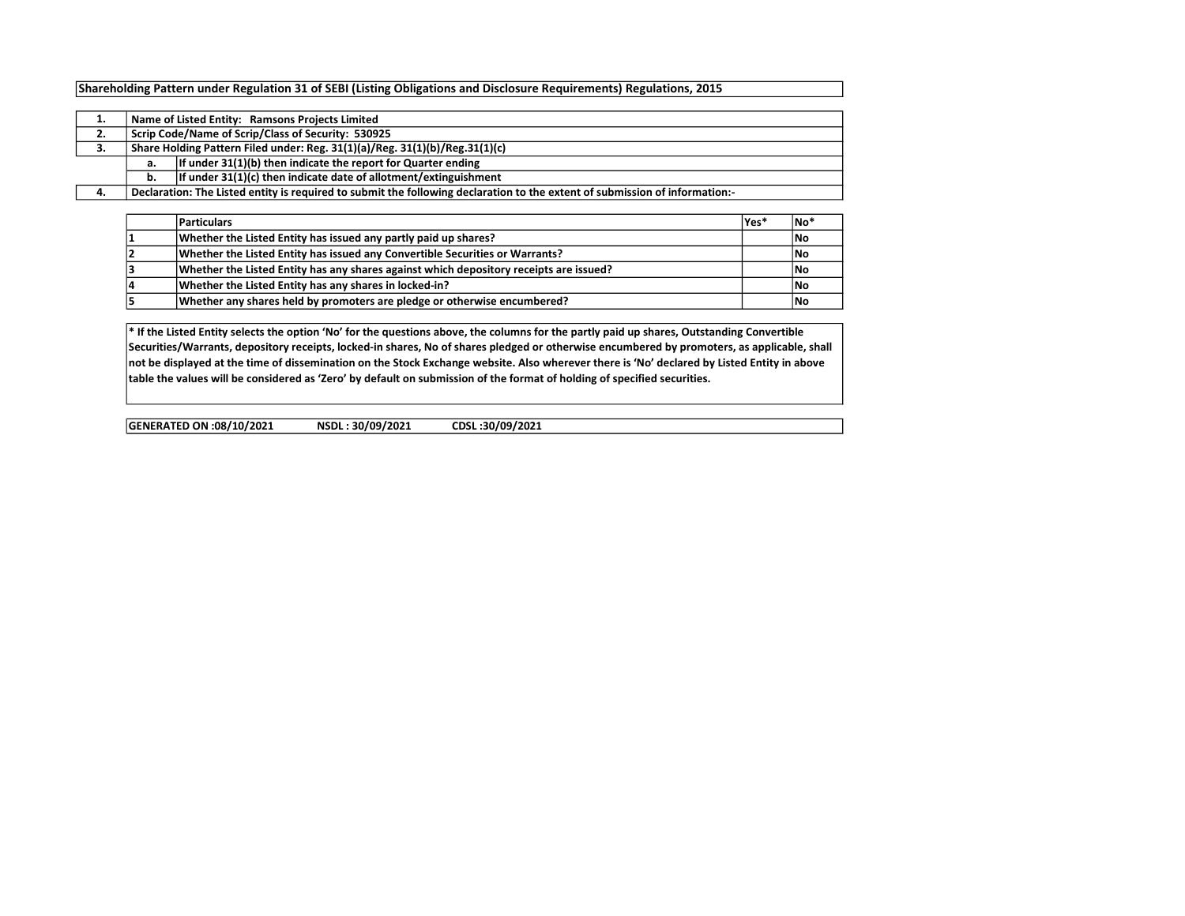## Shareholding Pattern under Regulation 31 of SEBI (Listing Obligations and Disclosure Requirements) Regulations, 2015

|    |                                                    | Name of Listed Entity: Ramsons Projects Limited                                                                             |  |  |  |  |  |  |  |  |  |  |  |
|----|----------------------------------------------------|-----------------------------------------------------------------------------------------------------------------------------|--|--|--|--|--|--|--|--|--|--|--|
| 2. | Scrip Code/Name of Scrip/Class of Security: 530925 |                                                                                                                             |  |  |  |  |  |  |  |  |  |  |  |
| з. |                                                    | Share Holding Pattern Filed under: Reg. 31(1)(a)/Reg. 31(1)(b)/Reg.31(1)(c)                                                 |  |  |  |  |  |  |  |  |  |  |  |
|    | a.                                                 | If under 31(1)(b) then indicate the report for Quarter ending                                                               |  |  |  |  |  |  |  |  |  |  |  |
|    | b.                                                 | If under 31(1)(c) then indicate date of allotment/extinguishment                                                            |  |  |  |  |  |  |  |  |  |  |  |
|    |                                                    | Declaration: The Listed entity is required to submit the following declaration to the extent of submission of information:- |  |  |  |  |  |  |  |  |  |  |  |

|    | <b>Particulars</b>                                                                     | lYes* | †No |
|----|----------------------------------------------------------------------------------------|-------|-----|
|    | Whether the Listed Entity has issued any partly paid up shares?                        |       | No  |
|    | Whether the Listed Entity has issued any Convertible Securities or Warrants?           |       | No  |
|    | Whether the Listed Entity has any shares against which depository receipts are issued? |       | No  |
| 14 | Whether the Listed Entity has any shares in locked-in?                                 |       | No  |
|    | Whether any shares held by promoters are pledge or otherwise encumbered?               |       | 1No |

\* If the Listed Entity selects the option 'No' for the questions above, the columns for the partly paid up shares, Outstanding Convertible Securities/Warrants, depository receipts, locked-in shares, No of shares pledged or otherwise encumbered by promoters, as applicable, shall not be displayed at the time of dissemination on the Stock Exchange website. Also wherever there is 'No' declared by Listed Entity in above table the values will be considered as 'Zero' by default on submission of the format of holding of specified securities.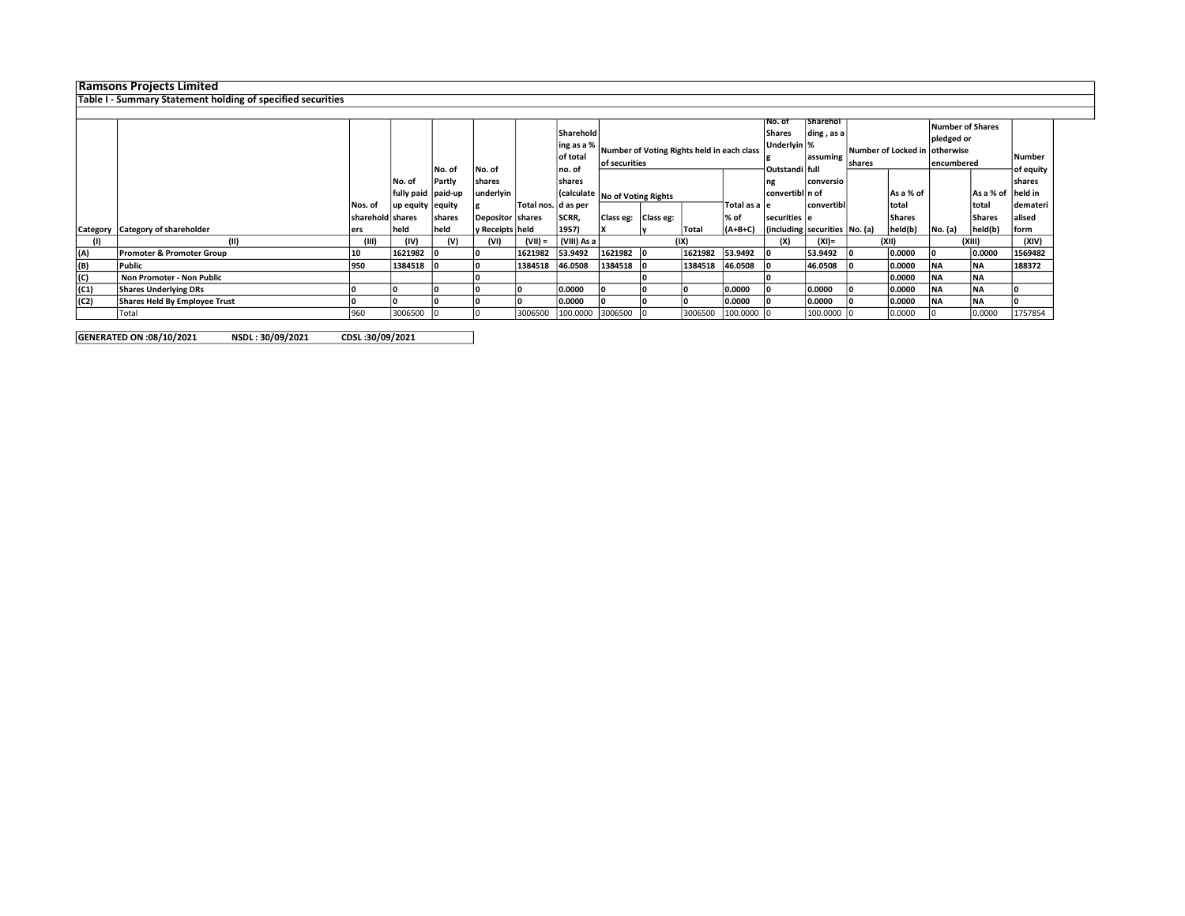## Ramsons Projects Limited

## Table I - Summary Statement holding of specified securities

|      |                                  |                  |                    |        |                   |                       | Sharehold   |                                |           |                                            |                | NO. OT<br>Shares              | <b>Sharehol</b><br>ding, as a |  |               | Number of Shares               |                   |          |
|------|----------------------------------|------------------|--------------------|--------|-------------------|-----------------------|-------------|--------------------------------|-----------|--------------------------------------------|----------------|-------------------------------|-------------------------------|--|---------------|--------------------------------|-------------------|----------|
|      |                                  |                  |                    |        |                   |                       |             |                                |           |                                            |                | Underlyin   %                 |                               |  |               | pledged or                     |                   |          |
|      |                                  |                  |                    |        |                   |                       | ing as a %  |                                |           | Number of Voting Rights held in each class |                |                               | assuming                      |  |               | Number of Locked in lotherwise |                   |          |
|      |                                  |                  |                    |        |                   |                       | of total    | of securities                  |           |                                            |                |                               | <b>shares</b>                 |  | lencumbered   |                                | Number            |          |
|      |                                  |                  |                    | No. of | No. of            |                       | no. of      |                                |           |                                            | Outstandi full |                               |                               |  |               |                                | of equity         |          |
|      |                                  |                  | No. of             | Partly | <b>shares</b>     |                       | shares      |                                |           |                                            | ng             | conversio                     |                               |  |               |                                | shares            |          |
|      |                                  |                  | fully paid paid-up |        | underlyin         |                       |             | (calculate No of Voting Rights |           |                                            |                | convertibl n of               |                               |  | As a % of     |                                | As a % of held in |          |
|      |                                  | Nos. of          | up equity   equity |        |                   | Total nos.   d as per |             |                                |           |                                            | Total as a le  |                               | convertibl                    |  | total         |                                | Itotal            | demateri |
|      |                                  | sharehold shares |                    | shares | Depositor shares  |                       | SCRR,       | Class eg:                      | Class eg: |                                            | % of           | securities e                  |                               |  | <b>Shares</b> |                                | Shares            | alised   |
|      | Category Category of shareholder | ers              | held               | held   | y Receipts   held |                       | 1957)       |                                |           | Total                                      | $(A+B+C)$      | (including securities No. (a) |                               |  | held(b)       | No. (a)                        | held(b)           | form     |
|      | (III)                            | (III)            | (IV)               | (V)    | (VI)              | $(VII) =$             | (VIII) As a |                                |           | (IX)                                       |                | (X)                           | (XI)=                         |  | (XII)         |                                | (XIII)            | (XIV)    |
| (A)  | Promoter & Promoter Group        | 10               | 1621982 0          |        |                   | 1621982               | 53.9492     | 1621982                        |           | 1621982                                    | 53.9492        |                               | 53.9492                       |  | 0.0000        |                                | 0.0000            | 1569482  |
| (B)  | Public                           | 950              | 1384518 0          |        |                   | 1384518               | 46.0508     | 1384518                        |           | 1384518                                    | 46.0508        |                               | 46.0508                       |  | 0.0000        | <b>NA</b>                      | <b>NA</b>         | 188372   |
| (C)  | Non Promoter - Non Public        |                  |                    |        |                   |                       |             |                                |           |                                            |                |                               |                               |  | 0.0000        | <b>NA</b>                      | <b>NA</b>         |          |
| (C1) | <b>Shares Underlying DRs</b>     |                  |                    |        |                   |                       | 0.0000      |                                |           |                                            | 0.0000         |                               | 0.0000                        |  | 0.0000        | <b>INA</b>                     | <b>NA</b>         |          |
| (C2) | Shares Held By Employee Trust    |                  |                    |        |                   |                       | 0.0000      |                                |           |                                            | 0.0000         |                               | 0.0000                        |  | 0.0000        | <b>INA</b>                     | <b>NA</b>         |          |
|      | Total                            | 960              | 3006500            |        |                   | 3006500               | 100.0000    | 3006500                        |           | 3006500                                    | 100.0000       |                               | 100.0000                      |  | 0.0000        |                                | 0.0000            | 1757854  |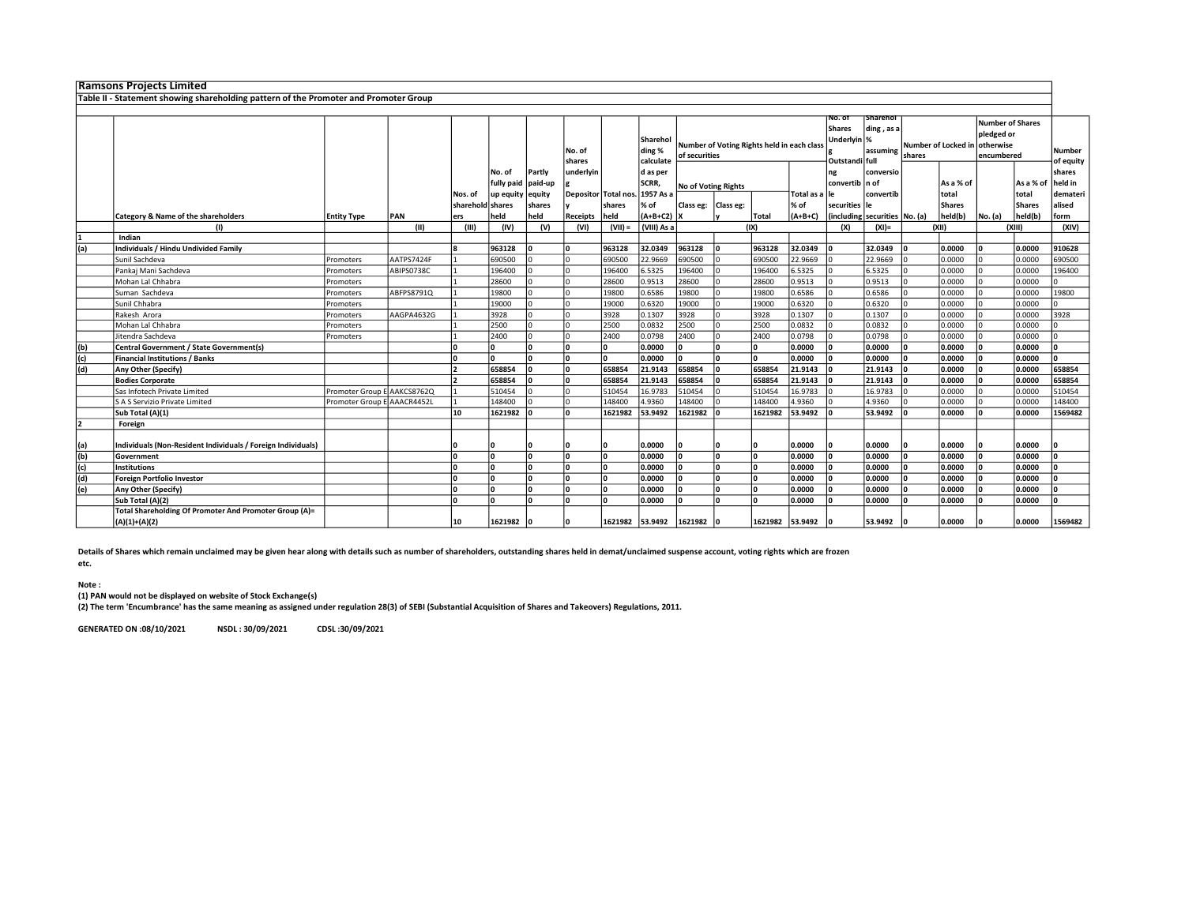|     | <b>Ramsons Projects Limited</b>                                                      |                             |            |                  |            |         |                      |                 |                                 |                                                             |           |                 |                                                      |                                    |                                 |                               |                                              |         |                     |          |
|-----|--------------------------------------------------------------------------------------|-----------------------------|------------|------------------|------------|---------|----------------------|-----------------|---------------------------------|-------------------------------------------------------------|-----------|-----------------|------------------------------------------------------|------------------------------------|---------------------------------|-------------------------------|----------------------------------------------|---------|---------------------|----------|
|     | Table II - Statement showing shareholding pattern of the Promoter and Promoter Group |                             |            |                  |            |         |                      |                 |                                 |                                                             |           |                 |                                                      |                                    |                                 |                               |                                              |         |                     |          |
|     |                                                                                      |                             |            |                  |            |         |                      |                 |                                 |                                                             |           |                 |                                                      |                                    |                                 |                               |                                              |         |                     |          |
|     |                                                                                      |                             |            |                  |            |         | No. of<br>shares     |                 | Sharehol<br>ding %<br>calculate | Number of Voting Rights held in each class<br>of securities |           |                 | No. of<br>Shares<br>Underlyin  %<br>Outstandi   full | Sharehol<br>ding, as a<br>assuming | shares                          | Number of Locked in otherwise | Number of Shares<br>pledged or<br>encumbered |         | Number<br>of equity |          |
|     |                                                                                      |                             |            |                  | No. of     | Partly  | underlyin            |                 | d as per                        |                                                             |           |                 |                                                      | ng                                 | conversio                       |                               |                                              |         |                     | shares   |
|     |                                                                                      |                             |            |                  | fully paid | paid-up |                      |                 | <b>SCRR</b>                     | No of Voting Rights                                         |           |                 |                                                      | convertib n of                     |                                 |                               | As a % of                                    |         | As a % of           | held in  |
|     |                                                                                      |                             |            | Nos. of          | up equity  | equity  | Depositor Total nos. |                 | 1957 As a                       |                                                             |           |                 | Total as a lle                                       |                                    | convertib                       |                               | total                                        |         | total               | demateri |
|     |                                                                                      |                             |            | sharehold shares |            | shares  |                      | shares          | % of                            | Class eg:                                                   | Class eg: |                 | % of                                                 | securities le                      |                                 |                               | <b>Shares</b>                                |         | <b>Shares</b>       | alised   |
|     | Category & Name of the shareholders                                                  | <b>Entity Type</b>          | PAN        | ers              | held       | held    | Receipts             | held            | $(A+B+C2)$                      | Ιx                                                          |           | Total           | $(A+B+C)$                                            |                                    | (including securities   No. (a) |                               | held(b)                                      | No. (a) | held(b)             | form     |
|     | (1)                                                                                  |                             | (II)       | (III)            | (IV)       | (V)     | (VI)                 | $(VII) =$       | (VIII) As a                     |                                                             |           | (IX)            |                                                      | (X)                                | $(XI)$ =                        |                               | (XII)                                        |         | (XIII)              | (XIV)    |
|     | Indian                                                                               |                             |            |                  |            |         |                      |                 |                                 |                                                             |           |                 |                                                      |                                    |                                 |                               |                                              |         |                     |          |
| (a) | Individuals / Hindu Undivided Family                                                 |                             |            |                  | 963128     |         | ١٥                   | 963128          | 32.0349                         | 963128                                                      |           | 963128          | 32.0349                                              |                                    | 32.0349                         |                               | 0.0000                                       |         | 0.0000              | 910628   |
|     | Sunil Sachdeva                                                                       | Promoters                   | AATPS7424F |                  | 690500     |         |                      | 690500          | 22.9669                         | 690500                                                      |           | 690500          | 22.9669                                              |                                    | 22.9669                         |                               | 0.0000                                       |         | 0.0000              | 690500   |
|     | Pankaj Mani Sachdeva                                                                 | Promoters                   | ABIPS0738C |                  | 196400     |         |                      | 196400          | 6.5325                          | 196400                                                      |           | 196400          | 6.5325                                               |                                    | 6.5325                          |                               | 0.0000                                       |         | 0.0000              | 196400   |
|     | Mohan Lal Chhabra                                                                    | Promoters                   |            |                  | 28600      |         |                      | 28600           | 0.9513                          | 28600                                                       |           | 28600           | 0.9513                                               |                                    | 0.9513                          |                               | 0.0000                                       |         | 0.0000              |          |
|     | Suman Sachdeva                                                                       | Promoters                   | ABFPS8791Q |                  | 19800      |         |                      | 19800           | 0.6586                          | 19800                                                       |           | 19800           | 0.6586                                               |                                    | 0.6586                          |                               | 0.0000                                       |         | 0.0000              | 19800    |
|     | Sunil Chhabra                                                                        | Promoters                   |            |                  | 19000      |         |                      | 19000           | 0.6320                          | 19000                                                       |           | 19000           | 0.6320                                               |                                    | 0.6320                          |                               | 0.0000                                       |         | 0.0000              |          |
|     | Rakesh Arora                                                                         | Promoters                   | AAGPA4632G |                  | 3928       |         |                      | 3928            | 0.1307                          | 3928                                                        |           | 3928            | 0.1307                                               |                                    | 0.1307                          |                               | 0.0000                                       |         | 0.0000              | 3928     |
|     | Mohan Lal Chhabra                                                                    | Promoters                   |            |                  | 2500       |         |                      | 2500            | 0.0832                          | 2500                                                        |           | 2500            | 0.0832                                               |                                    | 0.0832                          |                               | 0.0000                                       |         | 0.0000              |          |
|     | Jitendra Sachdeva                                                                    | Promoters                   |            |                  | 2400       |         |                      | 2400            | 0.0798                          | 2400                                                        |           | 2400            | 0.0798                                               |                                    | 0.0798                          |                               | 0.0000                                       |         | 0.0000              |          |
| (b) | Central Government / State Government(s)                                             |                             |            |                  |            |         | ١n                   | ١o              | 0.0000                          | l٥                                                          |           | ١o              | 0.0000                                               | l٥                                 | 0.0000                          |                               | 0.0000                                       |         | 0.0000              | n        |
| (c) | <b>Financial Institutions / Banks</b>                                                |                             |            |                  |            |         | ١n                   | ١o              | 0.0000                          | l٥                                                          |           | ١o              | 0.0000                                               | l٥                                 | 0.0000                          |                               | 0.0000                                       |         | 0.0000              | n.       |
| (d) | Any Other (Specify)                                                                  |                             |            |                  | 658854     |         | ١٥                   | 658854          | 21.9143                         | 658854                                                      |           | 658854          | 21.9143                                              |                                    | 21.9143                         |                               | 0.0000                                       |         | 0.0000              | 658854   |
|     | <b>Bodies Corporate</b>                                                              |                             |            |                  | 658854     |         | ۱n                   | 658854          | 21.9143                         | 658854                                                      |           | 658854          | 21.9143                                              |                                    | 21.9143                         |                               | 0.0000                                       |         | 0.0000              | 658854   |
|     | Sas Infotech Private Limited                                                         | Promoter Group E AAKCS8762Q |            |                  | 510454     |         |                      | 510454          | 16.9783                         | 510454                                                      |           | 510454          | 16.9783                                              |                                    | 16.9783                         |                               | 0.0000                                       |         | 0.0000              | 510454   |
|     | S A S Servizio Private Limited                                                       | Promoter Group E AAACR4452L |            |                  | 148400     |         |                      | 148400          | 4.9360                          | 148400                                                      |           | 148400          | 4.9360                                               |                                    | 4.9360                          |                               | 0.0000                                       |         | 0.0000              | 148400   |
|     | Sub Total (A)(1)                                                                     |                             |            | 10               | 1621982    |         | Ι٥                   | 1621982         | 53.9492                         | 1621982                                                     |           | 1621982         | 53.9492                                              |                                    | 53.9492                         |                               | 0.0000                                       |         | 0.0000              | 1569482  |
|     | Foreign                                                                              |                             |            |                  |            |         |                      |                 |                                 |                                                             |           |                 |                                                      |                                    |                                 |                               |                                              |         |                     |          |
| (a) | Individuals (Non-Resident Individuals / Foreign Individuals)                         |                             |            |                  |            |         |                      |                 | 0.0000                          |                                                             |           |                 | 0.0000                                               |                                    | 0.0000                          |                               | 0.0000                                       |         | 0.0000              |          |
| (b) | Government                                                                           |                             |            |                  |            |         | Ι٥                   | l۵              | 0.0000                          |                                                             |           | ١n              | 0.0000                                               | O                                  | 0.0000                          |                               | 0.0000                                       |         | 0.0000              | n        |
| (c) | <b>Institutions</b>                                                                  |                             |            |                  |            |         |                      | ١o              | 0.0000                          |                                                             |           | ١o              | 0.0000                                               | l٥                                 | 0.0000                          |                               | 0.0000                                       |         | 0.0000              |          |
| (d) | <b>Foreign Portfolio Investor</b>                                                    |                             |            |                  |            |         | ١٥                   | ١o              | 0.0000                          |                                                             |           | ١o              | 0.0000                                               | l٥                                 | 0.0000                          |                               | 0.0000                                       |         | 0.0000              | n        |
| (e) | Any Other (Specify)                                                                  |                             |            |                  |            |         |                      | l۵              | 0.0000                          |                                                             |           | l٥              | 0.0000                                               |                                    | 0.0000                          |                               | 0.0000                                       |         | 0.0000              |          |
|     | Sub Total (A)(2)                                                                     |                             |            |                  |            |         |                      | Ι∩              | 0.0000                          |                                                             |           | Ι٨              | 0.0000                                               |                                    | 0.0000                          |                               | 0.0000                                       |         | 0.0000              |          |
|     | Total Shareholding Of Promoter And Promoter Group (A)=                               |                             |            |                  |            |         |                      |                 |                                 |                                                             |           |                 |                                                      |                                    |                                 |                               |                                              |         |                     |          |
|     | $(A)(1)+(A)(2)$                                                                      |                             |            | 10               | 1621982    |         |                      | 1621982 53.9492 |                                 | 1621982                                                     |           | 1621982 53.9492 |                                                      |                                    | 53.9492                         |                               | 0.0000                                       |         | 0.0000              | 1569482  |

Details of Shares which remain unclaimed may be given hear along with details such as number of shareholders, outstanding shares held in demat/unclaimed suspense account, voting rights which are frozen

etc.

## Note :

(1) PAN would not be displayed on website of Stock Exchange(s)

(2) The term 'Encumbrance' has the same meaning as assigned under regulation 28(3) of SEBI (Substantial Acquisition of Shares and Takeovers) Regulations, 2011.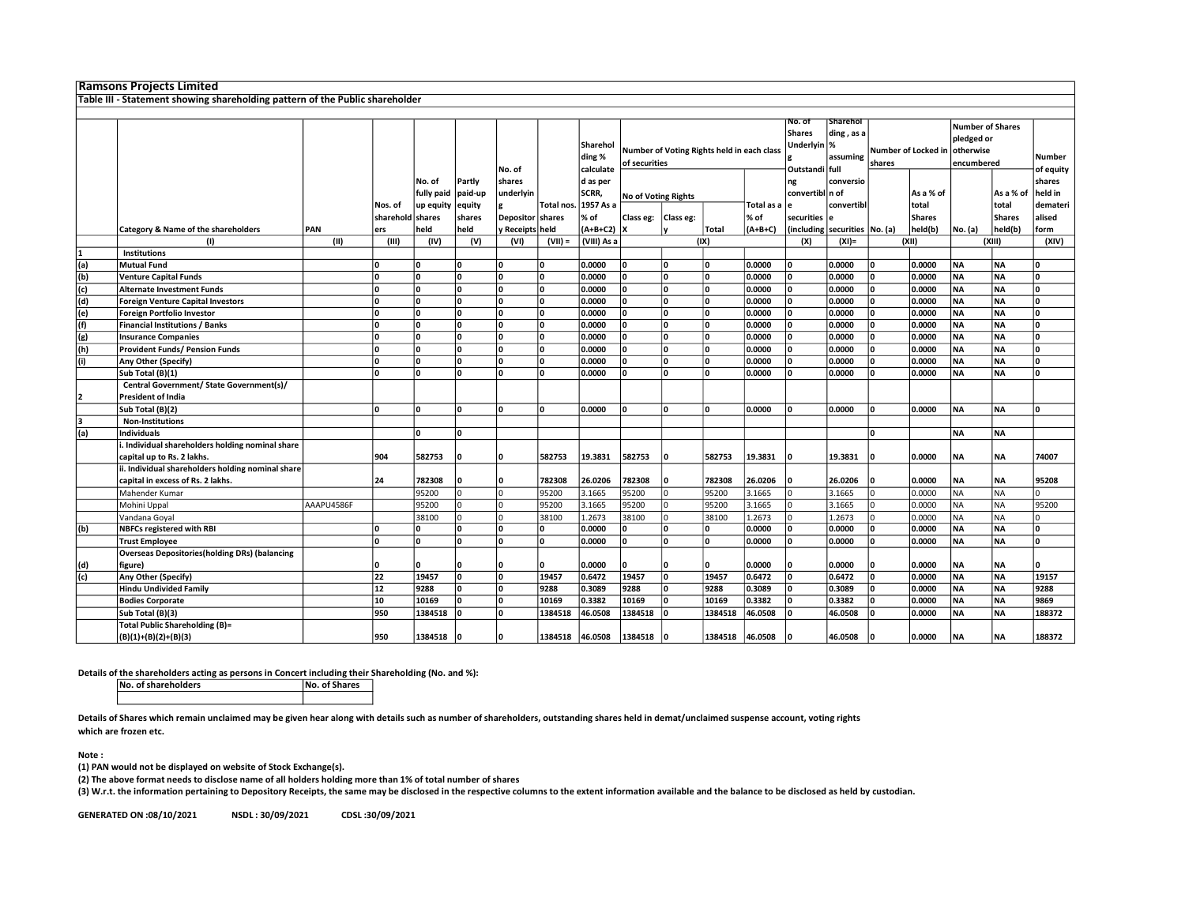|            | <b>Ramsons Projects Limited</b>                                                |            |                               |                      |                   |                     |                            |                                                      |                                                             |              |         |                    |                                                           |                                           |        |                        |                                                                  |                        |                            |
|------------|--------------------------------------------------------------------------------|------------|-------------------------------|----------------------|-------------------|---------------------|----------------------------|------------------------------------------------------|-------------------------------------------------------------|--------------|---------|--------------------|-----------------------------------------------------------|-------------------------------------------|--------|------------------------|------------------------------------------------------------------|------------------------|----------------------------|
|            | Table III - Statement showing shareholding pattern of the Public shareholder   |            |                               |                      |                   |                     |                            |                                                      |                                                             |              |         |                    |                                                           |                                           |        |                        |                                                                  |                        |                            |
|            |                                                                                |            |                               |                      |                   |                     |                            |                                                      |                                                             |              |         |                    |                                                           |                                           |        |                        |                                                                  |                        |                            |
|            |                                                                                |            |                               |                      | Partly<br>paid-up | No. of              |                            | Sharehol<br>ding %<br>calculate<br>d as per<br>SCRR, | Number of Voting Rights held in each class<br>of securities |              |         |                    | NO. OT<br><b>Shares</b><br>Underlyin  %<br>Outstandi full | <b>Sharehol</b><br>ding, as a<br>assuming | shares | Number of Locked in    | <b>Number of Shares</b><br>pledged or<br>otherwise<br>encumbered |                        | <b>Number</b><br>of equity |
|            |                                                                                |            |                               | No. of<br>fully paid |                   | shares<br>underlyin |                            |                                                      | No of Voting Rights                                         |              |         |                    | ng<br>convertibl n of                                     | conversio                                 |        | As a % of              |                                                                  | As a % of              | shares<br>held in          |
|            |                                                                                |            | Nos. of<br>sharehold   shares | up equity            | equity<br>shares  | <b>Depositor</b>    | <b>Total nos</b><br>shares | 1957 As a<br>% of                                    | Class eg:   Class eg:                                       |              |         | Total as a<br>% of | securities                                                | convertibl<br>١e                          |        | total<br><b>Shares</b> |                                                                  | total<br><b>Shares</b> | demateri<br>alised         |
|            | Category & Name of the shareholders                                            | PAN        | ers                           | held                 | held              | y Receipts held     |                            | $(A+B+C2)$   X                                       |                                                             |              | Total   | (A+B+C)            |                                                           | (including securities No. (a)             |        | held(b)                | No. (a)                                                          | held(b)                | form                       |
|            | (1)                                                                            | (II)       | (III)                         | (IV)                 | (V)               | (VI)                | $(VII) =$                  | (VIII) As a                                          |                                                             |              | (IX)    |                    | (X)                                                       | $(XI) =$                                  |        | (XII)                  |                                                                  | (XIII)                 | (XIV)                      |
|            | <b>Institutions</b><br><b>Mutual Fund</b>                                      |            | 0                             | n                    | ۱o                | ١o                  | ١o                         | 0.0000                                               | O                                                           | $\mathbf{0}$ | ١o      | 0.0000             | ŋ                                                         | 0.0000                                    | O      | 0.0000                 | <b>NA</b>                                                        | <b>NA</b>              | ۱n                         |
| (a)<br>(b) | <b>Venture Capital Funds</b>                                                   |            | O                             | l n                  | ١o                | ١o                  | ١o                         | 0.0000                                               | l n                                                         | $\mathbf{0}$ | ١o      | 0.0000             |                                                           | 0.0000                                    |        | 0.0000                 | <b>NA</b>                                                        | <b>NA</b>              | ۱n                         |
| (c)        | <b>Alternate Investment Funds</b>                                              |            | $\Omega$                      | l n                  | ١n                | ١o                  | <b>n</b>                   | 0.0000                                               | O                                                           | ١o           | ١o      | 0.0000             |                                                           | 0.0000                                    | ۱n     | 0.0000                 | <b>NA</b>                                                        | <b>NA</b>              | ١o                         |
| (d)        | <b>Foreign Venture Capital Investors</b>                                       |            | O                             | ۱o                   | ١o                | ١o                  | ١o                         | 0.0000                                               | O                                                           | ١o           | ١o      | 0.0000             |                                                           | 0.0000                                    | ١n     | 0.0000                 | <b>NA</b>                                                        | <b>NA</b>              | ١o                         |
| (e)        | <b>Foreign Portfolio Investor</b>                                              |            | $\mathbf{0}$                  | n                    | ۱o                | ١o                  | n                          | 0.0000                                               | ۱o                                                          | 0            | ١o      | 0.0000             |                                                           | 0.0000                                    |        | 0.0000                 | NA                                                               | <b>NA</b>              | ١o                         |
| (f)        | <b>Financial Institutions / Banks</b>                                          |            | 0                             | l n                  | ٥                 | ١o                  | ١o                         | 0.0000                                               | O                                                           | $\mathbf{0}$ | ١o      | 0.0000             | O                                                         | 0.0000                                    | ۱n     | 0.0000                 | <b>NA</b>                                                        | <b>NA</b>              | ۱o                         |
| (g)        | <b>Insurance Companies</b>                                                     |            | O                             | l n                  | ١o                | ١o                  | ١o                         | 0.0000                                               | l n                                                         | $\mathbf{0}$ | ١o      | 0.0000             |                                                           | 0.0000                                    | ١n     | 0.0000                 | NA                                                               | <b>NA</b>              | ۱o                         |
| (h)        | <b>Provident Funds/ Pension Funds</b>                                          |            | $\mathbf{0}$                  | l n                  | ٥                 | ١ο                  | <b>n</b>                   | 0.0000                                               | O                                                           | $\mathbf{0}$ | ١o      | 0.0000             |                                                           | 0.0000                                    |        | 0.0000                 | NA                                                               | <b>NA</b>              | ١o                         |
| (i)        | Any Other (Specify)                                                            |            | O                             | l n                  | ١o                | ١o                  | ١o                         | 0.0000                                               | l n                                                         | $\mathbf{0}$ | ١o      | 0.0000             |                                                           | 0.0000                                    |        | 0.0000                 | <b>NA</b>                                                        | <b>NA</b>              | ۱o                         |
|            | Sub Total (B)(1)                                                               |            | $\Omega$                      | l n                  | ١n                | Ι٥                  |                            | 0.0000                                               | l n                                                         | $\Omega$     | ۱n      | 0.0000             |                                                           | 0.0000                                    |        | 0.0000                 | <b>NA</b>                                                        | <b>NA</b>              | ۱n                         |
|            | Central Government/ State Government(s)/                                       |            |                               |                      |                   |                     |                            |                                                      |                                                             |              |         |                    |                                                           |                                           |        |                        |                                                                  |                        |                            |
|            | <b>President of India</b>                                                      |            |                               |                      |                   |                     |                            |                                                      |                                                             |              |         |                    |                                                           |                                           |        |                        |                                                                  |                        |                            |
|            | Sub Total (B)(2)                                                               |            | <sup>0</sup>                  | l n                  | ١n                | ١o                  | ١o                         | 0.0000                                               | ۱o                                                          | $\Omega$     | ١o      | 0.0000             |                                                           | 0.0000                                    | O      | 0.0000                 | <b>NA</b>                                                        | <b>NA</b>              | ۱n                         |
|            | <b>Non-Institutions</b>                                                        |            |                               |                      |                   |                     |                            |                                                      |                                                             |              |         |                    |                                                           |                                           |        |                        |                                                                  |                        |                            |
| (a)        | <b>Individuals</b>                                                             |            |                               | l n                  | ١n                |                     |                            |                                                      |                                                             |              |         |                    |                                                           |                                           | l n    |                        | <b>NA</b>                                                        | <b>NA</b>              |                            |
|            | i. Individual shareholders holding nominal share<br>capital up to Rs. 2 lakhs. |            | 904                           | 582753               | $\mathbf{0}$      | n                   | 582753                     | 19.3831                                              | 582753                                                      | $\mathbf{0}$ | 582753  | 19.3831            |                                                           | 19.3831                                   |        | 0.0000                 | <b>NA</b>                                                        | <b>NA</b>              | 74007                      |
|            | ii. Individual shareholders holding nominal share                              |            |                               |                      |                   |                     |                            |                                                      |                                                             |              |         |                    |                                                           |                                           |        |                        |                                                                  |                        |                            |
|            | capital in excess of Rs. 2 lakhs.                                              |            | 24                            | 782308               | ۱a                | Ι٥                  | 782308                     | 26.0206                                              | 782308                                                      | 0            | 782308  | 26.0206            |                                                           | 26.0206                                   |        | 0.0000                 | <b>NA</b>                                                        | <b>NA</b>              | 95208                      |
|            | Mahender Kumar                                                                 |            |                               | 95200                | l O               | lo                  | 95200                      | 3.1665                                               | 95200                                                       | $\Omega$     | 95200   | 3.1665             |                                                           | 3.1665                                    |        | 0.0000                 | <b>NA</b>                                                        | <b>NA</b>              | I٥                         |
|            | Mohini Uppal                                                                   | AAAPU4586F |                               | 95200                | l n               | ١o                  | 95200                      | 3.1665                                               | 95200                                                       | $\Omega$     | 95200   | 3.1665             |                                                           | 3.1665                                    |        | 0.0000                 | <b>NA</b>                                                        | <b>NA</b>              | 95200                      |
|            | Vandana Goyal                                                                  |            |                               | 38100                | l O               | lo.                 | 38100                      | 1.2673                                               | 38100                                                       | $\Omega$     | 38100   | 1.2673             |                                                           | 1.2673                                    |        | 0.0000                 | <b>NA</b>                                                        | <b>NA</b>              | I٥                         |
| (b)        | <b>NBFCs registered with RBI</b>                                               |            | 0                             | n                    | ۱o                | ١o                  | n                          | 0.0000                                               | O                                                           | $\mathbf{0}$ | ١o      | 0.0000             | 0                                                         | 0.0000                                    | O      | 0.0000                 | <b>NA</b>                                                        | <b>NA</b>              | ۱o                         |
|            | <b>Trust Employee</b>                                                          |            | O                             | ۱o                   | ٥                 | ١o                  | ١o                         | 0.0000                                               | O                                                           | $\mathbf{0}$ | ١o      | 0.0000             | U                                                         | 0.0000                                    | ١n     | 0.0000                 | <b>NA</b>                                                        | <b>NA</b>              | ۱o                         |
|            | <b>Overseas Depositories(holding DRs) (balancing</b>                           |            |                               |                      |                   |                     |                            |                                                      |                                                             |              |         |                    |                                                           |                                           |        |                        |                                                                  |                        |                            |
| (d)        | figure)                                                                        |            | 0                             |                      | $\mathbf 0$       | ١o                  |                            | 0.0000                                               | O                                                           | O            | ١o      | 0.0000             |                                                           | 0.0000                                    |        | 0.0000                 | ΝA                                                               | <b>NA</b>              | ۱n                         |
| (c)        | Any Other (Specify)                                                            |            | 22                            | 19457                | ٥                 | ١o                  | 19457                      | 0.6472                                               | 19457                                                       | ١o           | 19457   | 0.6472             |                                                           | 0.6472                                    |        | 0.0000                 | <b>NA</b>                                                        | <b>NA</b>              | 19157                      |
|            | <b>Hindu Undivided Family</b>                                                  |            | ${\bf 12}$                    | 9288                 | ١n                | ١o                  | 9288                       | 0.3089                                               | 9288                                                        | O            | 9288    | 0.3089             |                                                           | 0.3089                                    |        | 0.0000                 | NA                                                               | <b>NA</b>              | 9288                       |
|            | <b>Bodies Corporate</b>                                                        |            | 10                            | 10169                | ١o                | ١o                  | 10169                      | 0.3382                                               | 10169                                                       | $\mathbf{0}$ | 10169   | 0.3382             |                                                           | 0.3382                                    |        | 0.0000                 | <b>NA</b>                                                        | <b>NA</b>              | 9869                       |
|            | Sub Total (B)(3)                                                               |            | 950                           | 1384518              | $\Omega$          | ١o                  | 1384518                    | 46.0508                                              | 1384518                                                     | $\Omega$     | 1384518 | 46.0508            |                                                           | 46.0508                                   |        | 0.0000                 | NA                                                               | <b>NA</b>              | 188372                     |
|            | <b>Total Public Shareholding (B)=</b>                                          |            |                               |                      |                   |                     |                            |                                                      |                                                             |              |         |                    |                                                           |                                           |        |                        |                                                                  |                        |                            |
|            | $(B)(1)+(B)(2)+(B)(3)$                                                         |            | 950                           | 1384518              | ١o                | n                   | 1384518                    | 46.0508                                              | 1384518                                                     | ١n           | 1384518 | 46.0508            |                                                           | 46.0508                                   | O      | 0.0000                 | <b>NA</b>                                                        | <b>NA</b>              | 188372                     |

Details of the shareholders acting as persons in Concert including their Shareholding (No. and %):<br>
No. of Shares

No. of shareholders

Details of Shares which remain unclaimed may be given hear along with details such as number of shareholders, outstanding shares held in demat/unclaimed suspense account, voting rights which are frozen etc.

Note :

(1) PAN would not be displayed on website of Stock Exchange(s).

(2) The above format needs to disclose name of all holders holding more than 1% of total number of shares

(3) W.r.t. the information pertaining to Depository Receipts, the same may be disclosed in the respective columns to the extent information available and the balance to be disclosed as held by custodian.